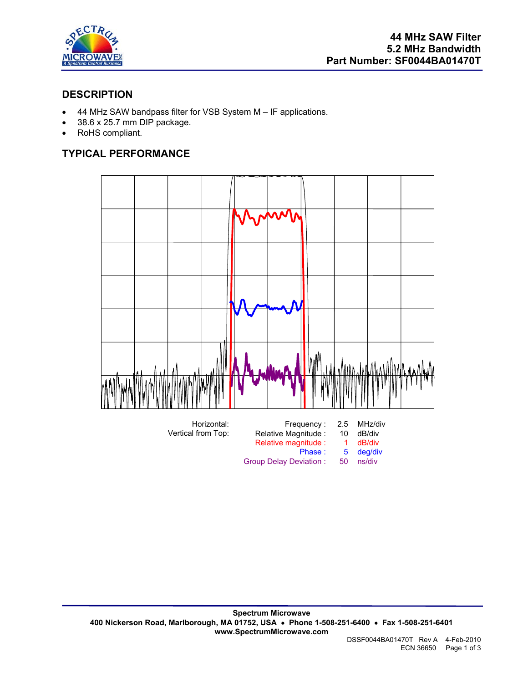

# **DESCRIPTION**

- 44 MHz SAW bandpass filter for VSB System M IF applications.
- 38.6 x 25.7 mm DIP package.
- RoHS compliant.

# **TYPICAL PERFORMANCE**

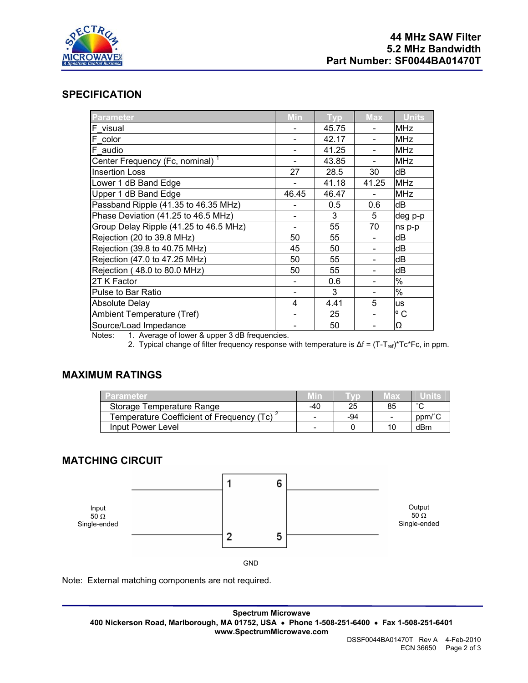

### **SPECIFICATION**

| <b>Parameter</b>                            | Min   | <b>Typ</b> | <b>Max</b> | <b>Units</b> |
|---------------------------------------------|-------|------------|------------|--------------|
| F visual                                    |       | 45.75      |            | <b>MHz</b>   |
| F color                                     |       | 42.17      |            | <b>MHz</b>   |
| F audio                                     |       | 41.25      |            | <b>MHz</b>   |
| Center Frequency (Fc, nominal) <sup>1</sup> |       | 43.85      |            | <b>MHz</b>   |
| <b>Insertion Loss</b>                       | 27    | 28.5       | 30         | dВ           |
| Lower 1 dB Band Edge                        |       | 41.18      | 41.25      | <b>MHz</b>   |
| Upper 1 dB Band Edge                        | 46.45 | 46.47      |            | <b>MHz</b>   |
| Passband Ripple (41.35 to 46.35 MHz)        |       | 0.5        | 0.6        | dB           |
| Phase Deviation (41.25 to 46.5 MHz)         |       | 3          | 5          | deg p-p      |
| Group Delay Ripple (41.25 to 46.5 MHz)      |       | 55         | 70         | ns p-p       |
| Rejection (20 to 39.8 MHz)                  | 50    | 55         |            | dB           |
| Rejection (39.8 to 40.75 MHz)               | 45    | 50         |            | dB           |
| Rejection (47.0 to 47.25 MHz)               | 50    | 55         |            | dB           |
| Rejection (48.0 to 80.0 MHz)                | 50    | 55         |            | dB           |
| 2T K Factor                                 |       | 0.6        |            | $\%$         |
| Pulse to Bar Ratio                          |       | 3          |            | %            |
| <b>Absolute Delay</b>                       | 4     | 4.41       | 5          | <b>us</b>    |
| Ambient Temperature (Tref)                  |       | 25         |            | $^{\circ}$ C |
| Source/Load Impedance                       |       | 50         |            | Ω            |

Notes: 1. Average of lower & upper 3 dB frequencies.

2. Typical change of filter frequency response with temperature is Δf = (T-T<sub>ref</sub>)\*Tc\*Fc, in ppm.

#### **MAXIMUM RATINGS**

| Parameter                                              |     |     | vlax                     | umre   |
|--------------------------------------------------------|-----|-----|--------------------------|--------|
| Storage Temperature Range                              | -40 | 25  | 85                       | $\sim$ |
| Temperature Coefficient of Frequency (Tc) <sup>2</sup> |     | -94 | $\overline{\phantom{0}}$ | ppm/°C |
| Input Power Level                                      | -   |     |                          | dBm    |

### **MATCHING CIRCUIT**



Note: External matching components are not required.